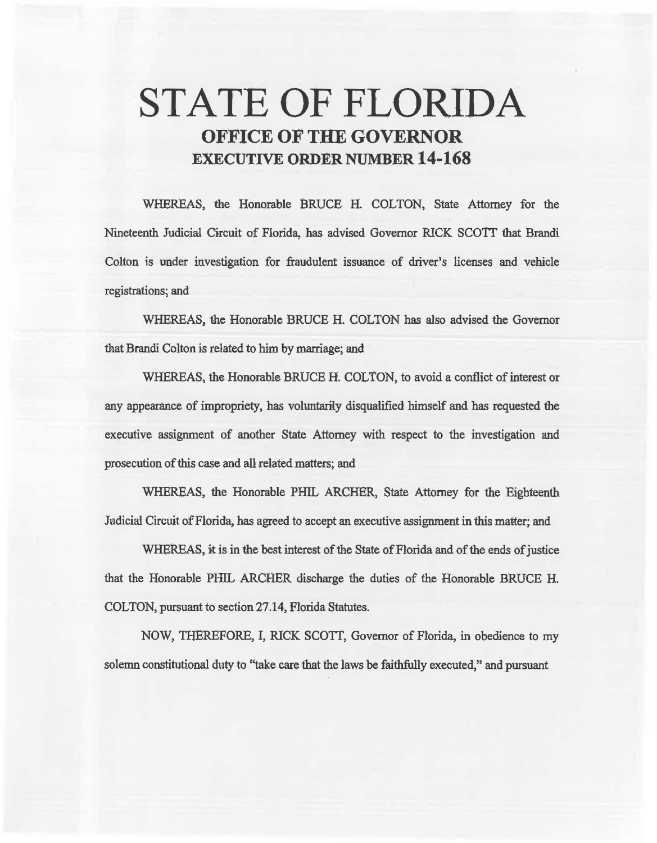# STATE OF FLORIDA OFFICE OF THE GOVERNOR EXECUTIVE ORDER NUMBER 14-168

WHEREAS, the Honorable BRUCE H. COLTON, State Attorney for the Nineteenth Judicial Circuit of Florida, has advised Governor RICK *SCOTT* that Brandi Colton is under investigation for fraudulent issuance of driver's licenses and vehicle registrations; and

WHEREAS, the Honorable BRUCE H. COLTON has also advised the Governor that Brandi Colton is related to him by marriage; and

WHEREAS. the Honorable BRUCE H. COLTON, to avoid a conflict of interest or any appearance of impropriety, has voluntariiy disqualified himself and has requested the executive assignment of another State Attorney with respect to the investigation and prosecution of this case and all related matters; and

WHEREAS, the Honorable PHIL ARCHER. State Attorney for the Eighteenth Judicial Circuit of Florida, has agreed to accept an executive assignment in this matter; and

WHEREAS, it is in the best interest of the State of Florida and of the ends of justice that the Honorable PHIL ARCHER discharge the duties of the Honorable BRUCE H. COLTON, pursuant to section 27.14, Florida Statutes.

NOW, THEREFORE, I, RICK SCOTI, Governor of Florida, in obedience to my solemn constitutional duty to "take care that the laws be faithfully executed," and pursuant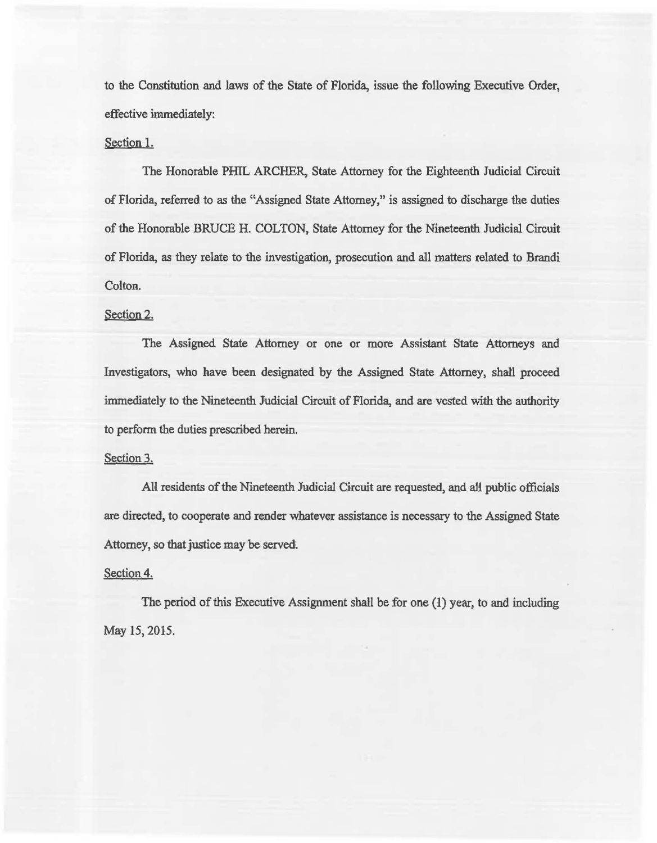to the Constitution and laws of the State of Florida, issue the following Executive Order, effective immediately:

## Section 1.

The Honorable PHIL ARCHER, State Attorney for the Eighteenth Judicial Circuit of Florida, referred to as the "Assigned State Attorney," is assigned to discharge the duties of the Honorable BRUCE H. COLTON, State Attorney for the Nineteenth Judicial Circuit of Florida, as they relate to the investigation, prosecution and all matters related to Brandi Colton.

## Section 2.

The Assigned State Attorney or one or more Assistant State Attorneys and Investigators, who have been designated by the Assigned State Attorney, shall proceed immediately to the Nineteenth Judicial Circuit of Florida, and are vested with the authority to perform the duties prescribed herein.

## Section 3.

All residents of the Nineteenth Judicial Circuit are requested, and ali public officials are directed, to cooperate and render whatever assistance is necessary to the Assigned State Attorney, so that justice may be served.

#### Section 4.

The period of this Executive Assignment shall be for one (1) year, to and including May 15, 2015.